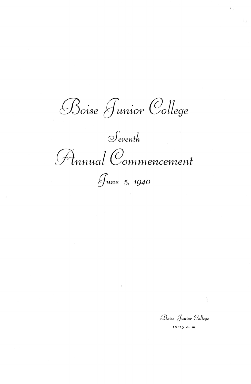Boise Junior College

 $S$ <sub>eventh</sub>

Finnual Commencement



Boise Junior College

 $10:15$  a.m.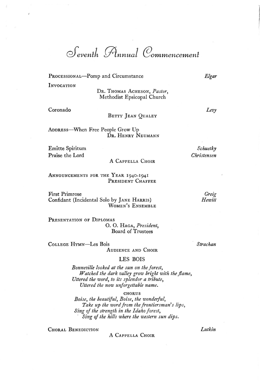*d'evenfh {A,nnual @ommencemenf* 

PROCESSIONAL-Pomp and Circumstance

**INVOCATION** 

DR. THOMAS ACHESON, *Pastor,*  Methodist Epsicopal Church

Coronado

BETTY JEAN QUALEY

ADDREss-When Free People Grow Up DR. HENRY NEUMANN

Emitte Spiritum Praise the Lord

A CAPPELLA CHOIR

ANNOUNCEMENTS FOR THE YEAR 1940-1941 PRESIDENT CHAFFEE

First Primrose Confidant (Incidental Solo by JANE HARRIS) WOMEN'S ENSEMBLE

PRESENTATION OF DIPLOMAS O. O. HAGA, *President,*  Board of Trustees

COLLEGE HYMN-Les Bois

AUDIENCE AND CHOIR

LES BOIS

*Bonneville looked at the sun on the forest, Watched the dark valley grow bright with the flame, Uttered the word, to its splendor a tribute, Uttered the now unforgettable name.* 

**CHORUS** 

*Boise, the beautiful, Boise, the wonderful, Take up the word from the frontiersman's lips, Sing of the strength in the Idaho forest, . Sing of the hills where the western sun dips.* 

CHORAL BENEDICTION

A CAPPELLA CHOIR

*Lutkin* 

*Greig* 

*Schuetky Christensen* 

*Hewitt* 

*Strachan* 

*Elgar* 

*Levy*